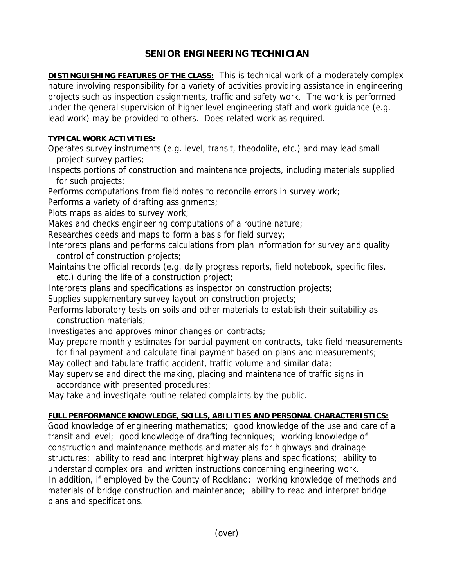## **SENIOR ENGINEERING TECHNICIAN**

**DISTINGUISHING FEATURES OF THE CLASS:** This is technical work of a moderately complex nature involving responsibility for a variety of activities providing assistance in engineering projects such as inspection assignments, traffic and safety work. The work is performed under the general supervision of higher level engineering staff and work guidance (e.g. lead work) may be provided to others. Does related work as required.

## **TYPICAL WORK ACTIVITIES:**

Operates survey instruments (e.g. level, transit, theodolite, etc.) and may lead small project survey parties;

Inspects portions of construction and maintenance projects, including materials supplied for such projects;

Performs computations from field notes to reconcile errors in survey work;

Performs a variety of drafting assignments;

Plots maps as aides to survey work;

Makes and checks engineering computations of a routine nature;

Researches deeds and maps to form a basis for field survey;

Interprets plans and performs calculations from plan information for survey and quality control of construction projects;

Maintains the official records (e.g. daily progress reports, field notebook, specific files, etc.) during the life of a construction project;

Interprets plans and specifications as inspector on construction projects;

Supplies supplementary survey layout on construction projects;

Performs laboratory tests on soils and other materials to establish their suitability as construction materials;

Investigates and approves minor changes on contracts;

May prepare monthly estimates for partial payment on contracts, take field measurements for final payment and calculate final payment based on plans and measurements;

May collect and tabulate traffic accident, traffic volume and similar data;

May supervise and direct the making, placing and maintenance of traffic signs in accordance with presented procedures;

May take and investigate routine related complaints by the public.

## **FULL PERFORMANCE KNOWLEDGE, SKILLS, ABILITIES AND PERSONAL CHARACTERISTICS:**

Good knowledge of engineering mathematics; good knowledge of the use and care of a transit and level; good knowledge of drafting techniques; working knowledge of construction and maintenance methods and materials for highways and drainage structures; ability to read and interpret highway plans and specifications; ability to understand complex oral and written instructions concerning engineering work. In addition, if employed by the County of Rockland: working knowledge of methods and materials of bridge construction and maintenance; ability to read and interpret bridge plans and specifications.